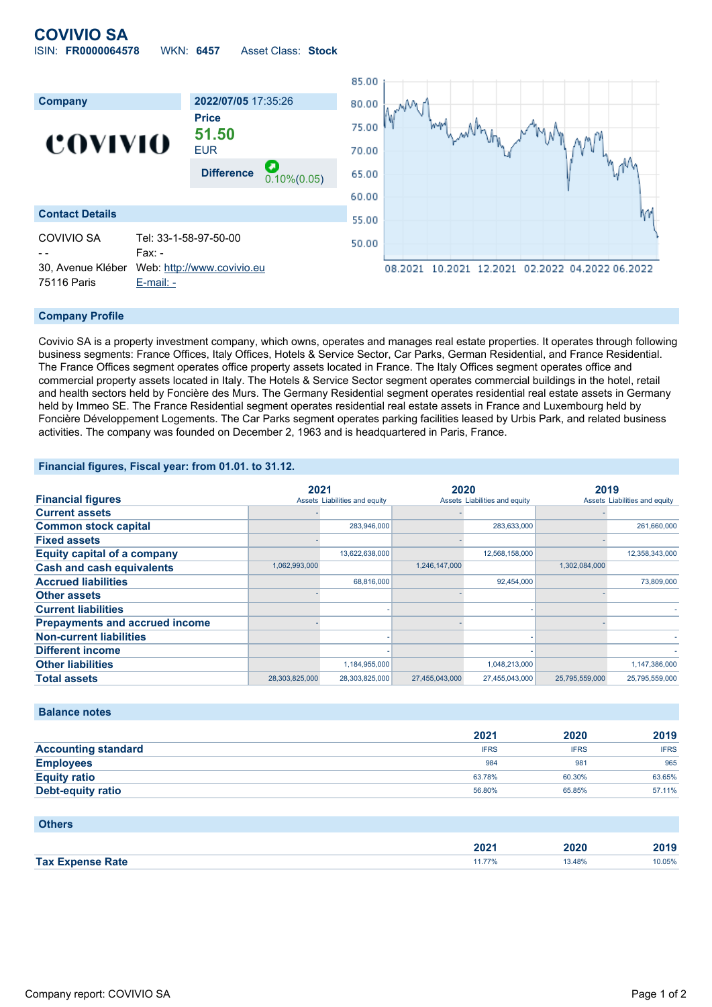# **COVIVIO SA** ISIN: **FR0000064578** WKN: **6457** Asset Class: **Stock**



#### **Company Profile**

Covivio SA is a property investment company, which owns, operates and manages real estate properties. It operates through following business segments: France Offices, Italy Offices, Hotels & Service Sector, Car Parks, German Residential, and France Residential. The France Offices segment operates office property assets located in France. The Italy Offices segment operates office and commercial property assets located in Italy. The Hotels & Service Sector segment operates commercial buildings in the hotel, retail and health sectors held by Foncière des Murs. The Germany Residential segment operates residential real estate assets in Germany held by Immeo SE. The France Residential segment operates residential real estate assets in France and Luxembourg held by Foncière Développement Logements. The Car Parks segment operates parking facilities leased by Urbis Park, and related business activities. The company was founded on December 2, 1963 and is headquartered in Paris, France.

### **Financial figures, Fiscal year: from 01.01. to 31.12.**

|                                       |                | 2021                          |                | 2020                          |                | 2019                          |  |
|---------------------------------------|----------------|-------------------------------|----------------|-------------------------------|----------------|-------------------------------|--|
| <b>Financial figures</b>              |                | Assets Liabilities and equity |                | Assets Liabilities and equity |                | Assets Liabilities and equity |  |
| <b>Current assets</b>                 |                |                               |                |                               |                |                               |  |
| <b>Common stock capital</b>           |                | 283,946,000                   |                | 283,633,000                   |                | 261,660,000                   |  |
| <b>Fixed assets</b>                   |                |                               |                |                               |                |                               |  |
| <b>Equity capital of a company</b>    |                | 13,622,638,000                |                | 12,568,158,000                |                | 12,358,343,000                |  |
| <b>Cash and cash equivalents</b>      | 1,062,993,000  |                               | 1,246,147,000  |                               | 1,302,084,000  |                               |  |
| <b>Accrued liabilities</b>            |                | 68.816.000                    |                | 92,454,000                    |                | 73,809,000                    |  |
| <b>Other assets</b>                   |                |                               |                |                               |                |                               |  |
| <b>Current liabilities</b>            |                |                               |                |                               |                |                               |  |
| <b>Prepayments and accrued income</b> |                |                               |                |                               |                |                               |  |
| <b>Non-current liabilities</b>        |                |                               |                |                               |                |                               |  |
| <b>Different income</b>               |                |                               |                |                               |                |                               |  |
| <b>Other liabilities</b>              |                | 1,184,955,000                 |                | 1,048,213,000                 |                | 1,147,386,000                 |  |
| <b>Total assets</b>                   | 28,303,825,000 | 28,303,825,000                | 27,455,043,000 | 27,455,043,000                | 25,795,559,000 | 25,795,559,000                |  |

## **Balance notes**

|                            | 2021        | 2020        | 2019        |
|----------------------------|-------------|-------------|-------------|
| <b>Accounting standard</b> | <b>IFRS</b> | <b>IFRS</b> | <b>IFRS</b> |
| <b>Employees</b>           | 984         | 981         | 965         |
| <b>Equity ratio</b>        | 63.78%      | 60.30%      | 63.65%      |
| <b>Debt-equity ratio</b>   | 56.80%      | 65.85%      | 57.11%      |

#### **Others**

|                    | יממ<br>ZUZ I | - - -<br>. | $-1$<br>40 I V |
|--------------------|--------------|------------|----------------|
| <b>Tax</b><br>'ate |              |            | 0.05%<br>.     |